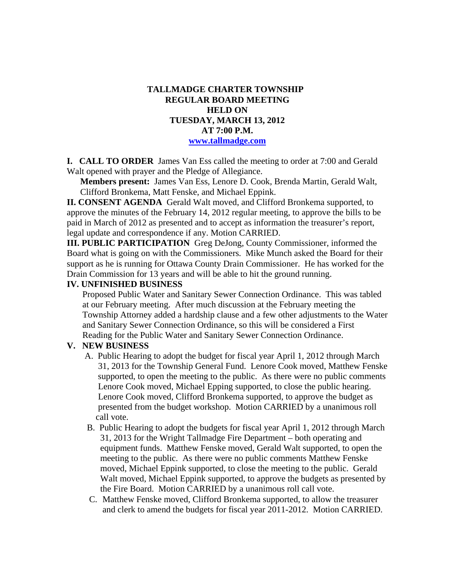#### **TALLMADGE CHARTER TOWNSHIP REGULAR BOARD MEETING HELD ON TUESDAY, MARCH 13, 2012 AT 7:00 P.M. www.tallmadge.com**

**I. CALL TO ORDER** James Van Ess called the meeting to order at 7:00 and Gerald Walt opened with prayer and the Pledge of Allegiance.

**Members present:** James Van Ess, Lenore D. Cook, Brenda Martin, Gerald Walt, Clifford Bronkema, Matt Fenske, and Michael Eppink.

**II. CONSENT AGENDA** Gerald Walt moved, and Clifford Bronkema supported, to approve the minutes of the February 14, 2012 regular meeting, to approve the bills to be paid in March of 2012 as presented and to accept as information the treasurer's report, legal update and correspondence if any. Motion CARRIED.

**III. PUBLIC PARTICIPATION** Greg DeJong, County Commissioner, informed the Board what is going on with the Commissioners. Mike Munch asked the Board for their support as he is running for Ottawa County Drain Commissioner. He has worked for the Drain Commission for 13 years and will be able to hit the ground running.

#### **IV. UNFINISHED BUSINESS**

Proposed Public Water and Sanitary Sewer Connection Ordinance. This was tabled at our February meeting. After much discussion at the February meeting the Township Attorney added a hardship clause and a few other adjustments to the Water and Sanitary Sewer Connection Ordinance, so this will be considered a First Reading for the Public Water and Sanitary Sewer Connection Ordinance.

#### **V. NEW BUSINESS**

- A. Public Hearing to adopt the budget for fiscal year April 1, 2012 through March 31, 2013 for the Township General Fund. Lenore Cook moved, Matthew Fenske supported, to open the meeting to the public. As there were no public comments Lenore Cook moved, Michael Epping supported, to close the public hearing. Lenore Cook moved, Clifford Bronkema supported, to approve the budget as presented from the budget workshop. Motion CARRIED by a unanimous roll call vote.
- B. Public Hearing to adopt the budgets for fiscal year April 1, 2012 through March 31, 2013 for the Wright Tallmadge Fire Department – both operating and equipment funds. Matthew Fenske moved, Gerald Walt supported, to open the meeting to the public. As there were no public comments Matthew Fenske moved, Michael Eppink supported, to close the meeting to the public. Gerald Walt moved, Michael Eppink supported, to approve the budgets as presented by the Fire Board. Motion CARRIED by a unanimous roll call vote.
- C. Matthew Fenske moved, Clifford Bronkema supported, to allow the treasurer and clerk to amend the budgets for fiscal year 2011-2012. Motion CARRIED.